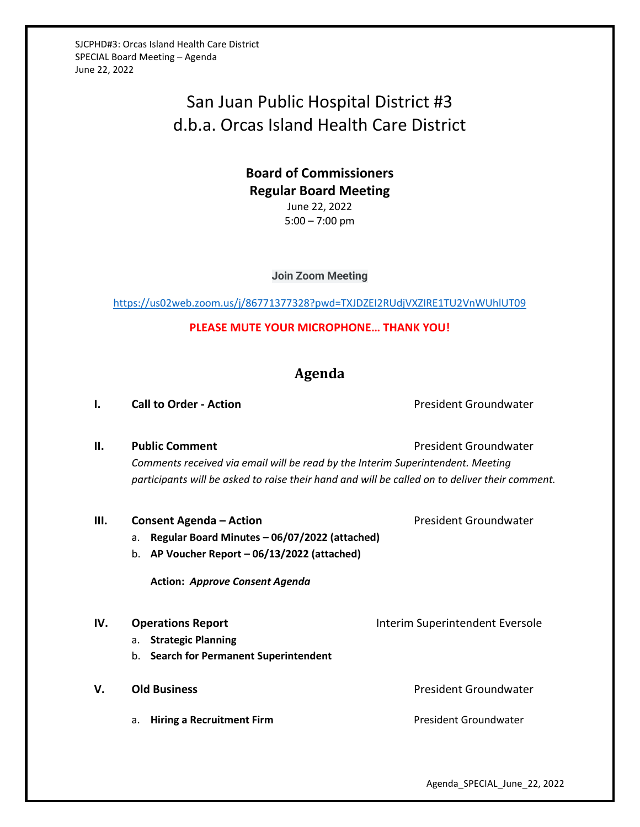SJCPHD#3: Orcas Island Health Care District SPECIAL Board Meeting – Agenda June 22, 2022

# San Juan Public Hospital District #3 d.b.a. Orcas Island Health Care District

### **Board of Commissioners Regular Board Meeting** June 22, 2022 5:00 – 7:00 pm

**Join Zoom Meeting**

<https://us02web.zoom.us/j/86771377328?pwd=TXJDZEI2RUdjVXZIRE1TU2VnWUhlUT09>

**PLEASE MUTE YOUR MICROPHONE… THANK YOU!**

## **Agenda**

### **I. Call to Order - Action Call to Order - Action President Groundwater**

**II. Public Comment President Groundwater President Groundwater** *Comments received via email will be read by the Interim Superintendent. Meeting participants will be asked to raise their hand and will be called on to deliver their comment.*

| Ш.  | <b>Consent Agenda - Action</b>                      | President Groundwater           |
|-----|-----------------------------------------------------|---------------------------------|
|     | Regular Board Minutes - 06/07/2022 (attached)<br>a. |                                 |
|     | AP Voucher Report - 06/13/2022 (attached)<br>b.     |                                 |
|     | <b>Action: Approve Consent Agenda</b>               |                                 |
| IV. | <b>Operations Report</b>                            | Interim Superintendent Eversole |
|     | <b>Strategic Planning</b><br>а.                     |                                 |
|     | <b>Search for Permanent Superintendent</b><br>b.    |                                 |
| V.  | <b>Old Business</b>                                 | President Groundwater           |
|     | <b>Hiring a Recruitment Firm</b><br>a.              | President Groundwater           |
|     |                                                     |                                 |